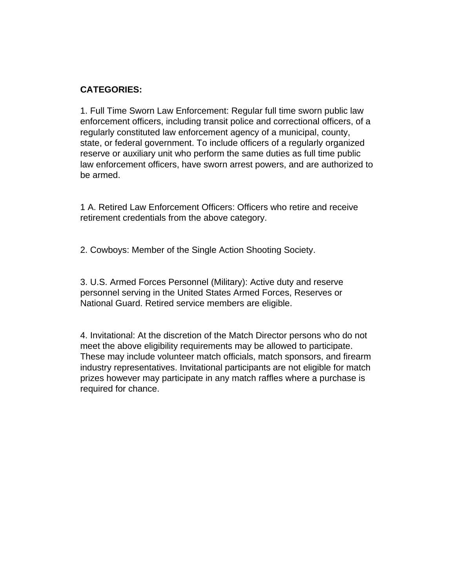## **CATEGORIES:**

1. Full Time Sworn Law Enforcement: Regular full time sworn public law enforcement officers, including transit police and correctional officers, of a regularly constituted law enforcement agency of a municipal, county, state, or federal government. To include officers of a regularly organized reserve or auxiliary unit who perform the same duties as full time public law enforcement officers, have sworn arrest powers, and are authorized to be armed.

1 A. Retired Law Enforcement Officers: Officers who retire and receive retirement credentials from the above category.

2. Cowboys: Member of the Single Action Shooting Society.

3. U.S. Armed Forces Personnel (Military): Active duty and reserve personnel serving in the United States Armed Forces, Reserves or National Guard. Retired service members are eligible.

4. Invitational: At the discretion of the Match Director persons who do not meet the above eligibility requirements may be allowed to participate. These may include volunteer match officials, match sponsors, and firearm industry representatives. Invitational participants are not eligible for match prizes however may participate in any match raffles where a purchase is required for chance.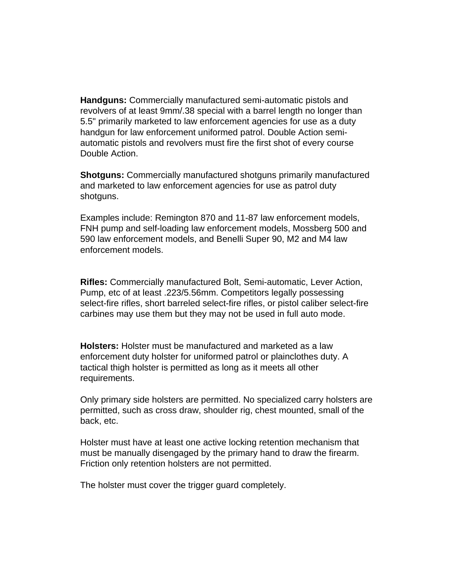**Handguns:** Commercially manufactured semi-automatic pistols and revolvers of at least 9mm/.38 special with a barrel length no longer than 5.5" primarily marketed to law enforcement agencies for use as a duty handgun for law enforcement uniformed patrol. Double Action semiautomatic pistols and revolvers must fire the first shot of every course Double Action.

**Shotguns:** Commercially manufactured shotguns primarily manufactured and marketed to law enforcement agencies for use as patrol duty shotguns.

Examples include: Remington 870 and 11-87 law enforcement models, FNH pump and self-loading law enforcement models, Mossberg 500 and 590 law enforcement models, and Benelli Super 90, M2 and M4 law enforcement models.

**Rifles:** Commercially manufactured Bolt, Semi-automatic, Lever Action, Pump, etc of at least .223/5.56mm. Competitors legally possessing select-fire rifles, short barreled select-fire rifles, or pistol caliber select-fire carbines may use them but they may not be used in full auto mode.

**Holsters:** Holster must be manufactured and marketed as a law enforcement duty holster for uniformed patrol or plainclothes duty. A tactical thigh holster is permitted as long as it meets all other requirements.

Only primary side holsters are permitted. No specialized carry holsters are permitted, such as cross draw, shoulder rig, chest mounted, small of the back, etc.

Holster must have at least one active locking retention mechanism that must be manually disengaged by the primary hand to draw the firearm. Friction only retention holsters are not permitted.

The holster must cover the trigger guard completely.